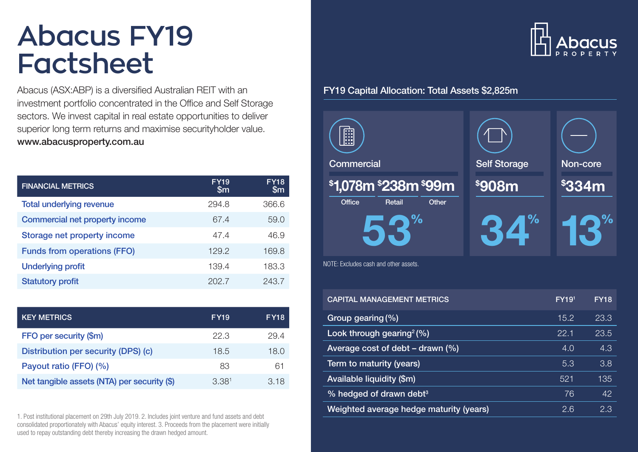# **Abacus FY19 Factsheet**

Abacus (ASX:ABP) is a diversified Australian REIT with an investment portfolio concentrated in the Office and Self Storage sectors. We invest capital in real estate opportunities to deliver superior long term returns and maximise securityholder value. www.abacusproperty.com.au

| <b>FINANCIAL METRICS</b>           | <b>FY19</b><br>$\mathsf{Sm}$ | <b>FY18</b><br>$\mathbb{S}_{m}$ |
|------------------------------------|------------------------------|---------------------------------|
| <b>Total underlying revenue</b>    | 294.8                        | 366.6                           |
| Commercial net property income     | 67.4                         | 59.0                            |
| Storage net property income        | 47.4                         | 46.9                            |
| <b>Funds from operations (FFO)</b> | 129.2                        | 169.8                           |
| <b>Underlying profit</b>           | 139.4                        | 183.3                           |
| <b>Statutory profit</b>            | 202.7                        | 243.7                           |

| <b>KEY METRICS</b>                          | <b>FY19</b>       | <b>FY18</b> |
|---------------------------------------------|-------------------|-------------|
| FFO per security (\$m)                      | 22.3              | 29.4        |
| Distribution per security (DPS) (c)         | 18.5              | 18.0        |
| Payout ratio (FFO) (%)                      | 83                | 61          |
| Net tangible assets (NTA) per security (\$) | 3.38 <sup>1</sup> | 3.18        |

1. Post institutional placement on 29th July 2019. 2. Includes joint venture and fund assets and debt consolidated proportionately with Abacus' equity interest. 3. Proceeds from the placement were initially used to repay outstanding debt thereby increasing the drawn hedged amount.



## FY19 Capital Allocation: Total Assets \$2,825m



| <b>CAPITAL MANAGEMENT METRICS</b>       | FY19 <sup>1</sup> | <b>FY18</b> |
|-----------------------------------------|-------------------|-------------|
| Group gearing (%)                       | 15.2              | 23.3        |
| Look through gearing $(%)$              | 22.1              | 23.5        |
| Average cost of debt $-$ drawn $(\%)$   | 4.0               | 4.3         |
| Term to maturity (years)                | 5.3               | 3.8         |
| Available liquidity (\$m)               | 521               | 135         |
| % hedged of drawn debt <sup>3</sup>     | 76                | 42          |
| Weighted average hedge maturity (years) | 2.6               | 2.3         |